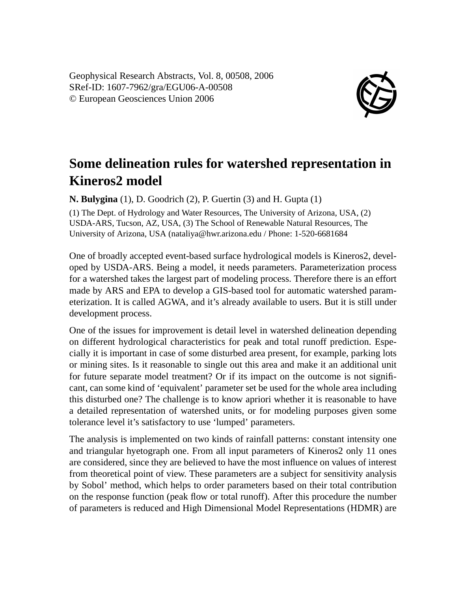Geophysical Research Abstracts, Vol. 8, 00508, 2006 SRef-ID: 1607-7962/gra/EGU06-A-00508 © European Geosciences Union 2006



## **Some delineation rules for watershed representation in Kineros2 model**

**N. Bulygina** (1), D. Goodrich (2), P. Guertin (3) and H. Gupta (1)

(1) The Dept. of Hydrology and Water Resources, The University of Arizona, USA, (2) USDA-ARS, Tucson, AZ, USA, (3) The School of Renewable Natural Resources, The University of Arizona, USA (nataliya@hwr.arizona.edu / Phone: 1-520-6681684

One of broadly accepted event-based surface hydrological models is Kineros2, developed by USDA-ARS. Being a model, it needs parameters. Parameterization process for a watershed takes the largest part of modeling process. Therefore there is an effort made by ARS and EPA to develop a GIS-based tool for automatic watershed parameterization. It is called AGWA, and it's already available to users. But it is still under development process.

One of the issues for improvement is detail level in watershed delineation depending on different hydrological characteristics for peak and total runoff prediction. Especially it is important in case of some disturbed area present, for example, parking lots or mining sites. Is it reasonable to single out this area and make it an additional unit for future separate model treatment? Or if its impact on the outcome is not significant, can some kind of 'equivalent' parameter set be used for the whole area including this disturbed one? The challenge is to know apriori whether it is reasonable to have a detailed representation of watershed units, or for modeling purposes given some tolerance level it's satisfactory to use 'lumped' parameters.

The analysis is implemented on two kinds of rainfall patterns: constant intensity one and triangular hyetograph one. From all input parameters of Kineros2 only 11 ones are considered, since they are believed to have the most influence on values of interest from theoretical point of view. These parameters are a subject for sensitivity analysis by Sobol' method, which helps to order parameters based on their total contribution on the response function (peak flow or total runoff). After this procedure the number of parameters is reduced and High Dimensional Model Representations (HDMR) are